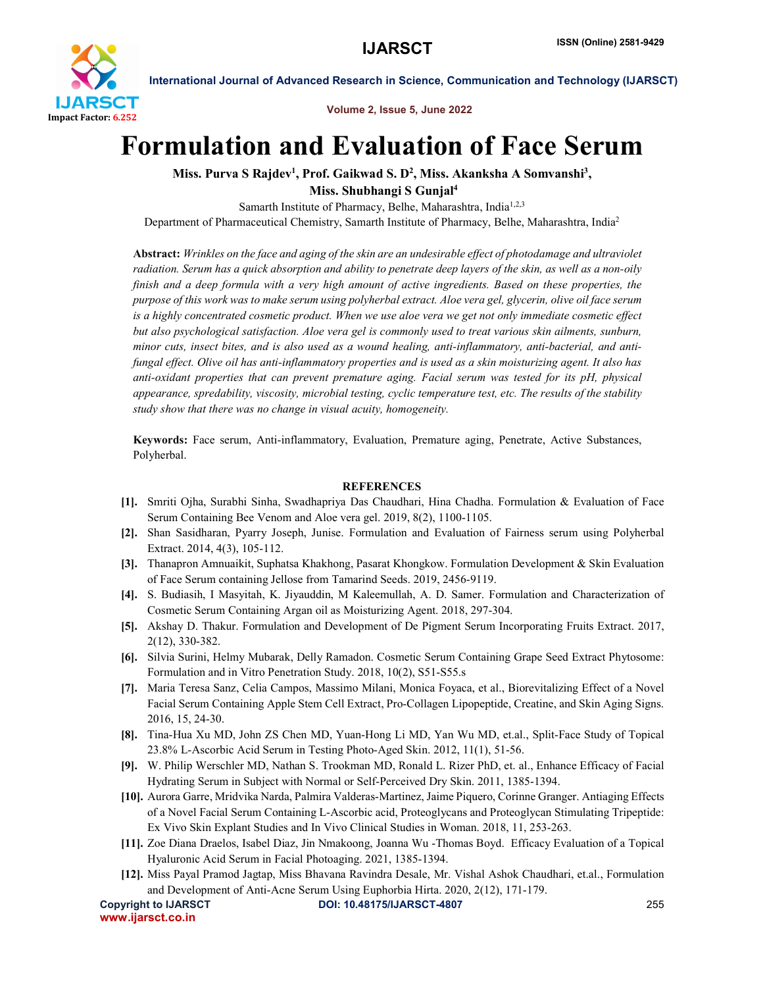

International Journal of Advanced Research in Science, Communication and Technology (IJARSCT)

Volume 2, Issue 5, June 2022

## Formulation and Evaluation of Face Serum

Miss. Purva S Rajdev<sup>1</sup>, Prof. Gaikwad S. D<sup>2</sup>, Miss. Akanksha A Somvanshi<sup>3</sup>, Miss. Shubhangi S Gunjal4

Samarth Institute of Pharmacy, Belhe, Maharashtra, India<sup>1,2,3</sup> Department of Pharmaceutical Chemistry, Samarth Institute of Pharmacy, Belhe, Maharashtra, India2

Abstract: *Wrinkles on the face and aging of the skin are an undesirable effect of photodamage and ultraviolet radiation. Serum has a quick absorption and ability to penetrate deep layers of the skin, as well as a non-oily finish and a deep formula with a very high amount of active ingredients. Based on these properties, the purpose of this work was to make serum using polyherbal extract. Aloe vera gel, glycerin, olive oil face serum is a highly concentrated cosmetic product. When we use aloe vera we get not only immediate cosmetic effect but also psychological satisfaction. Aloe vera gel is commonly used to treat various skin ailments, sunburn, minor cuts, insect bites, and is also used as a wound healing, anti-inflammatory, anti-bacterial, and antifungal effect. Olive oil has anti-inflammatory properties and is used as a skin moisturizing agent. It also has anti-oxidant properties that can prevent premature aging. Facial serum was tested for its pH, physical appearance, spredability, viscosity, microbial testing, cyclic temperature test, etc. The results of the stability study show that there was no change in visual acuity, homogeneity.*

Keywords: Face serum, Anti-inflammatory, Evaluation, Premature aging, Penetrate, Active Substances, Polyherbal.

## **REFERENCES**

- [1]. Smriti Ojha, Surabhi Sinha, Swadhapriya Das Chaudhari, Hina Chadha. Formulation & Evaluation of Face Serum Containing Bee Venom and Aloe vera gel. 2019, 8(2), 1100-1105.
- [2]. Shan Sasidharan, Pyarry Joseph, Junise. Formulation and Evaluation of Fairness serum using Polyherbal Extract. 2014, 4(3), 105-112.
- [3]. Thanapron Amnuaikit, Suphatsa Khakhong, Pasarat Khongkow. Formulation Development & Skin Evaluation of Face Serum containing Jellose from Tamarind Seeds. 2019, 2456-9119.
- [4]. S. Budiasih, I Masyitah, K. Jiyauddin, M Kaleemullah, A. D. Samer. Formulation and Characterization of Cosmetic Serum Containing Argan oil as Moisturizing Agent. 2018, 297-304.
- [5]. Akshay D. Thakur. Formulation and Development of De Pigment Serum Incorporating Fruits Extract. 2017, 2(12), 330-382.
- [6]. Silvia Surini, Helmy Mubarak, Delly Ramadon. Cosmetic Serum Containing Grape Seed Extract Phytosome: Formulation and in Vitro Penetration Study. 2018, 10(2), S51-S55.s
- [7]. Maria Teresa Sanz, Celia Campos, Massimo Milani, Monica Foyaca, et al., Biorevitalizing Effect of a Novel Facial Serum Containing Apple Stem Cell Extract, Pro-Collagen Lipopeptide, Creatine, and Skin Aging Signs. 2016, 15, 24-30.
- [8]. Tina-Hua Xu MD, John ZS Chen MD, Yuan-Hong Li MD, Yan Wu MD, et.al., Split-Face Study of Topical 23.8% L-Ascorbic Acid Serum in Testing Photo-Aged Skin. 2012, 11(1), 51-56.
- [9]. W. Philip Werschler MD, Nathan S. Trookman MD, Ronald L. Rizer PhD, et. al., Enhance Efficacy of Facial Hydrating Serum in Subject with Normal or Self-Perceived Dry Skin. 2011, 1385-1394.
- [10]. Aurora Garre, Mridvika Narda, Palmira Valderas-Martinez, Jaime Piquero, Corinne Granger. Antiaging Effects of a Novel Facial Serum Containing L-Ascorbic acid, Proteoglycans and Proteoglycan Stimulating Tripeptide: Ex Vivo Skin Explant Studies and In Vivo Clinical Studies in Woman. 2018, 11, 253-263.
- [11]. Zoe Diana Draelos, Isabel Diaz, Jin Nmakoong, Joanna Wu -Thomas Boyd. Efficacy Evaluation of a Topical Hyaluronic Acid Serum in Facial Photoaging. 2021, 1385-1394.
- [12]. Miss Payal Pramod Jagtap, Miss Bhavana Ravindra Desale, Mr. Vishal Ashok Chaudhari, et.al., Formulation and Development of Anti-Acne Serum Using Euphorbia Hirta. 2020, 2(12), 171-179.

www.ijarsct.co.in